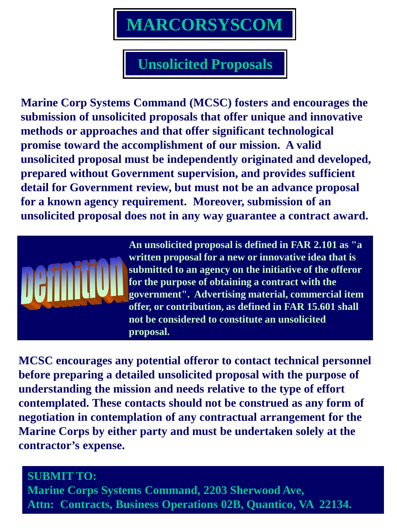# **MARCORSYSCOM**

# **Unsolicited Proposals**

**Marine Corp Systems Command (MCSC) fosters and encourages the submission of unsolicited proposals that offer unique and innovative methods or approaches and that offer significant technological promise toward the accomplishment of our mission. A valid unsolicited proposal must be independently originated and developed, prepared without Government supervision, and provides sufficient detail for Government review, but must not be an advance proposal for a known agency requirement. Moreover, submission of an unsolicited proposal does not in any way guarantee a contract award.**



**An unsolicited proposal is defined in FAR 2.101 as "a written proposal for a new or innovative idea that is submitted to an agency on the initiative of the offeror for the purpose of obtaining a contract with the government". Advertising material, commercial item offer, or contribution, as defined in FAR 15.601 shall not be considered to constitute an unsolicited proposal.**

**MCSC encourages any potential offeror to contact technical personnel before preparing a detailed unsolicited proposal with the purpose of understanding the mission and needs relative to the type of effort contemplated. These contacts should not be construed as any form of negotiation in contemplation of any contractual arrangement for the Marine Corps by either party and must be undertaken solely at the contractor's expense.**

**SUBMIT TO: Marine Corps Systems Command, 2203 Sherwood Ave, Attn: Contracts, Business Operations 02B, Quantico, VA 22134.**